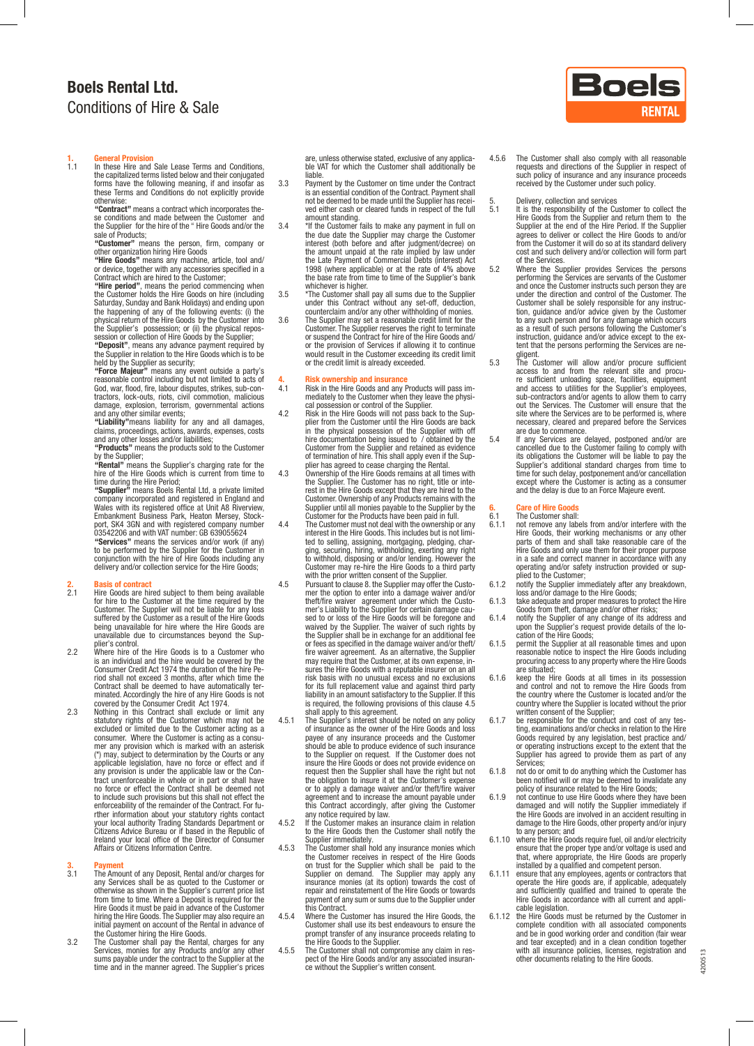## Boels Rental Ltd. Conditions of Hire & Sale

## 1. **General Provision**<br>11 In these Hire and

1.1 In these Hire and Sale Lease Terms and Conditions, the capitalized terms listed below and their conjugated forms have the following meaning, if and insofar as these Terms and Conditions do not explicitly provide otherwise:<br>**"Contract"** means a contract which incorporates the-

se conditions and made between the Customer and the Supplier for the hire of the " Hire Goods and/or the sale of Products;

**"Customer"** means the person, firm, company or<br>other organization hiring Hire Goods

"Hire Goods" means any machine, article, tool and/<br>or device, together with any accessories specified in a<br>Contract which are hired to the Customer;<br>"Hire period", means the period commencing when<br>the Customer holds the Hi

Saturday, Sunday and Bank Holidays) and ending upon<br>the happening of any of the following events: (i) the<br>physical return of the Hire Goods by the Customer into<br>the Supplier's possession; or (ii) the physical repos-<br>sessio

the Supplier in relation to the Hire Goods which is to be held by the Supplier as security;

"Force Majeur" means any event outside a party's<br>reasonable control including but not limited to acts of<br>God, war, flood, fire, labour disputes, strikes, sub-con-<br>tractors, lock-outs, riots, civil commotion, malicious<br>dama

and any other similar events;<br>**"Liability"**means liability for any and all damages, claims, proceedings, actions, awards, expenses, costs<br>and any other losses and/or liabilities;<br>**"Products"** means the products sold to the Customer

by the Supplier;<br>**"Rental"** means the Supplier's charging rate for the

hire of the Hire Goods which is current from time to<br>time during the Hire Period;<br>"**Supplier"** means Boels Rental Ltd, a private limited<br>"**Supplier"** means Boels Rental Ltd, a private limited<br>Company incorporated and regis port, SK4 3GN and with registered company number<br>03542206 and with VAT number: GB 639055624<br>**"Services"** means the services and/or work (if any)

to be performed by the Supplier for the Customer in conjunction with the hire of Hire Goods including any delivery and/or collection service for the Hire Goods;

## **2.** Basis of contract<br>2.1 Hire Goods are hi

- Hire Goods are hired subject to them being available for hire to the Customer at the time required by the Customer. The Supplier will not be liable for any loss suffered by the Customer as a result of the Hire Goods being unavailable for hire where the Hire Goods are unavailable due to circumstances beyond the Sup- plier's control.
- 2.2 Where hire of the Hire Goods is to a Customer who is an individual and the hire would be covered by the Consumer Credit Act 1974 the duration of the hire Period shall not exceed 3 months, after which time the Contract shall be deemed to have automatically terminated. Accordingly the hire of any Hire Goods is not covered by the Consumer Credit Act 1974. 2.3 Nothing in this Contract shall exclude or limit any
- statutory rights of the Customer which may not be excluded or limited due to the Customer acting as a consumer. Where the Customer is acting as a consumer any provision which is marked with an asterisk (\*) may, subject to determination by the Courts or any applicable legislation, have no force or effect and if any provisio tract unenforceable in whole or in part or shall have no force or effect the Contract shall be deemed not to include such provisions but this shall not effect the<br>enforceability of the remainder of the Contract. For fuenforceability of the remainder of the Contract. For fu-<br>rther information about your statutory rights contact<br>your local authority Trading Standards Department or<br>Citizens Advice Bureau or if based in the Republic of Ireland your local office of the Director of Consumer Affairs or Citizens Information Centre.

- 3. Payment 3.1 The Amount of any Deposit, Rental and/or charges for any Services shall be as quoted to the Customer or otherwise as shown in the Supplier's current price list from time to time. Where a Deposit is required for the Hire Goods it must be paid in advance of the Customer<br>hiring the Hire Goods. The Supplier may also require an<br>initial payment on account of the Rental in advance of
- the Customer hiring the Hire Goods. 3.2 The Customer shall pay the Rental, charges for any Services, monies for any Products and/or any other sums payable under the contract to the Supplier at the time and in the manner agreed. The Supplier's prices

are, unless otherwise stated, exclusive of any applica- ble VAT for which the Customer shall additionally be liable.

- 3.3 Payment by the Customer on time under the Contract is an essential condition of the Contract. Payment shall not be deemed to be made until the Supplier has recei- ved either cash or cleared funds in respect of the full
- amount standing.<br>3.4 <sup>\*</sup>If the Customer fails to make any payment in full on<br>the due date the Supplier may charge the Customer<br>interest (both before and after judgment/decree) on<br>the amount unpaid at the rate implied by la the Late Payment of Commercial Debts (interest) Act 1998 (where applicable) or at the rate of 4% above the base rate from time to time of the Supplier's bank
- 
- whichever is higher.<br>
"The Customer shall pay all sums due to the Supplier<br>
"Inc Customer shall pay all sums due to the Supplier<br>
under this Contract without any set-off, deduction,<br>
counterclaim and/or any other withholdi would result in the Customer exceeding its credit limit or the credit limit is already exceeded.

- 4. Risk ownership and insurance<br>4.1 Risk in the Hire Goods and any Products will pass im-<br>mediately to the Customer when they leave the physi-<br>cal possession or control of the Supplier.
- 4.2 Risk in the Hire Goods will not pass back to the Sup- plier from the Customer until the Hire Goods are back in the physical possession of the Supplier with off hire documentation being issued to / obtained by the Customer from the Supplier and retained as evidence<br>of termination of hire. This shall apply even if the Sup-<br>plier has agreed to cease charging the Rental.<br>Ownership of the Hire Goods remains at all times with<br>the Supplie
- rest in the Hire Goods except that they are hired to the Customer. Ownership of any Products remains with the Supplier until all monies payable to the Supplier by the Customer for the Products have been paid in full.
- 4.4 The Customer must not deal with the ownership or any interest in the Hire Goods. This includes but is not limited to selling, assigning, mortgaging, pledging, char-ging, securing, hiring, withholding, exerting any right to withhold, disposing or and/or lending. However the Customer may re-hire the Hire Goods to a third party with the prior written consent of the Supplier.
- 4.5 Pursuant to clause 8. the Supplier may offer the Custo-mer the option to enter into a damage waiver and/or theft/fire waiver agreement under which the Customer's Liability to the Supplier for certain damage cau-sed to or loss of the Hire Goods will be foregone and waived by the Supplier. The waiver of such rights by the Supplier shall be in exchange for an additional fee or fees as specified in the damage waiver and/or theft/ fire waiver agreement. As an alternative, the Supplier may require that the Customer, at its own expense, in- sures the Hire Goods with a reputable insurer on an all risk basis with no unusual excess and no exclusions<br>for its full replacement value and against third party<br>liability in an amount satisfactory to the Supplier. If this<br>is required, the following provisions of this clause 4
- 4.5.1 The Supplier's interest should be noted on any policy of insurance as the owner of the Hire Goods and loss payee of any insurance proceeds and the Customer should be able to produce evidence of such insurance to the Supplier on request. If the Customer does not insure the Hire Goods or does not provide evidence on request then the Supplier shall have the right but not the obligation to insure it at the Customer's expense or to apply a damage waiver and/or theft/fire waiver agreement and to increase the amount payable under<br>this Contract accordingly, after giving the Customer<br>any notice required by law.<br>4.5.2 If the Customer makes an insurance claim in relation<br>to the Hire Goods then the Cust
- Supplier immediately.
- 4.5.3 The Customer shall hold any insurance monies which the Customer receives in respect of the Hire Goods on trust for the Supplier which shall be paid to the Supplier on demand. The Supplier may apply any insurance monies (at its option) towards the cost of repair and reinstatement of the Hire Goods or towards payment of any sum or sums due to the Supplier under this Contract.
- 4.5.4 Where the Customer has insured the Hire Goods, the Customer shall use its best endeavours to ensure the prompt transfer of any insurance proceeds relating to the Hire Goods to the Supplier.
- 4.5.5 The Customer shall not compromise any claim in res-pect of the Hire Goods and/or any associated insurance without the Supplier's written consent.



- 5. Delivery, collection and services<br>5.1 It is the responsibility of the Customer to collect the<br>Hire Goods from the Supplier and return them to the<br>Supplier at the end of the Hire Period. If the Supplier<br>agrees to deliver from the Customer it will do so at its standard delivery cost and such delivery and/or collection will form part
- of the Services.<br>
5.2 Where the Supplier provides Services the persons<br>
performing the Services are servants of the Customer<br>
and once the Customer instructs such person they are<br>
under the direction and control of the Cus Customer shall be solely responsible for any instruction, guidance and/or advice given by the Customer<br>to any such person and for any damage which occurs<br>as a result of such persons following the Customer's<br>instruction, gu
- gligent. 5.3 The Customer will allow and/or procure sufficient access to and from the relevant site and procu- re sufficient unloading space, facilities, equipment and access to utilities for the Supplier's employees, sub-contractors and/or agents to allow them to carry out the Services. The Customer will ensure that the site where the Services are to be performed is, where necessary, cleared and prepared before the Services
- are due to commence.<br>5.4 If any Services are delayed, postponed and/or are<br>cancelled due to the Customer failing to comply with<br>its obligations the Customer will be liable to pay the<br>Supplier's additional standard charges time for such delay, postponement and/or cancellation except where the Customer is acting as a consumer and the delay is due to an Force Majeure event.

# 6. Care of Hire Goods<br>6.1 The Customer shall:

- 6.1 The Customer shall:<br>6.1.1 not remove any lab 6.1.1 not remove any labels from and/or interfere with the Hire Goods, their working mechanisms or any other parts of them and shall take reasonable care of the Hire Goods and only use them for their proper purpose in a sa operating and/or safety instruction provided or sup-plied to the Customer;
- 6.1.2 notify the Supplier immediately after any breakdown, loss and/or damage to the Hire Goods;
	-
- 6.1.3 take adequate and proper measures to protect the Hire<br>6.0.0ds from theft, damage and/or other risks;<br>6.1.4 notify the Supplier of any change of its address and<br>upon the Supplier's request provide details of the lo-<br>c
	- procuring access to any property where the Hire Goods are situated;
- 6.1.6 keep the Hire Goods at all times in its possession and control and not to remove the Hire Goods from the country where the Customer is located and/or the country where the Supplier is located without the prior written consent of the Supplier;
- 6.1.7 be responsible for the conduct and cost of any tes- ting, examinations and/or checks in relation to the Hire Goods required by any legislation, best practice and/ or operating instructions except to the extent that the Supplier has agreed to provide them as part of any Services; 6.1.8 not do or omit to do anything which the Customer has
- been notified will or may be deemed to invalidate any policy of insurance related to the Hire Goods;
- 6.1.9 not continue to use Hire Goods where they have been damaged and will notify the Supplier immediately if the Hire Goods are involved in an accident resulting in damage to the Hire Goods, other property and/or injury to any person; and
- 6.1.10 where the Hire Goods require fuel, oil and/or electricity ensure that the proper type and/or voltage is used and that, where appropriate, the Hire Goods are properly installed by a qualified and competent person.
- 6.1.11 ensure that any employees, agents or contractors that operate the Hire goods are, if applicable, adequately and sufficiently qualified and trained to operate the Hire Goods in accordance with all current and applicable legislation.
- 6.1.12 the Hire Goods must be returned by the Customer in complete condition with all associated components and be in good working order and condition (fair wear and tear excepted) and in a clean condition together with all insurance policies, licenses, registration and other documents relating to the Hire Goods.